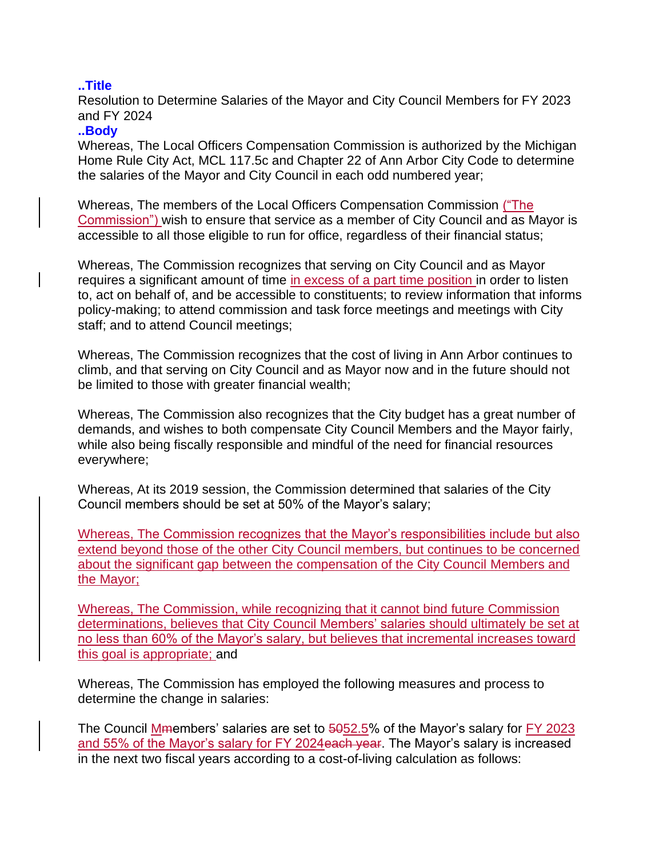## **..Title**

Resolution to Determine Salaries of the Mayor and City Council Members for FY 2023 and FY 2024

## **..Body**

Whereas, The Local Officers Compensation Commission is authorized by the Michigan Home Rule City Act, MCL 117.5c and Chapter 22 of Ann Arbor City Code to determine the salaries of the Mayor and City Council in each odd numbered year;

Whereas, The members of the Local Officers Compensation Commission ("The Commission") wish to ensure that service as a member of City Council and as Mayor is accessible to all those eligible to run for office, regardless of their financial status;

Whereas, The Commission recognizes that serving on City Council and as Mayor requires a significant amount of time in excess of a part time position in order to listen to, act on behalf of, and be accessible to constituents; to review information that informs policy-making; to attend commission and task force meetings and meetings with City staff; and to attend Council meetings;

Whereas, The Commission recognizes that the cost of living in Ann Arbor continues to climb, and that serving on City Council and as Mayor now and in the future should not be limited to those with greater financial wealth;

Whereas, The Commission also recognizes that the City budget has a great number of demands, and wishes to both compensate City Council Members and the Mayor fairly, while also being fiscally responsible and mindful of the need for financial resources everywhere;

Whereas, At its 2019 session, the Commission determined that salaries of the City Council members should be set at 50% of the Mayor's salary;

Whereas, The Commission recognizes that the Mayor's responsibilities include but also extend beyond those of the other City Council members, but continues to be concerned about the significant gap between the compensation of the City Council Members and the Mayor;

Whereas, The Commission, while recognizing that it cannot bind future Commission determinations, believes that City Council Members' salaries should ultimately be set at no less than 60% of the Mayor's salary, but believes that incremental increases toward this goal is appropriate; and

Whereas, The Commission has employed the following measures and process to determine the change in salaries:

The Council Mmembers' salaries are set to 5052.5% of the Mayor's salary for FY 2023 and 55% of the Mayor's salary for FY 2024each year. The Mayor's salary is increased in the next two fiscal years according to a cost-of-living calculation as follows: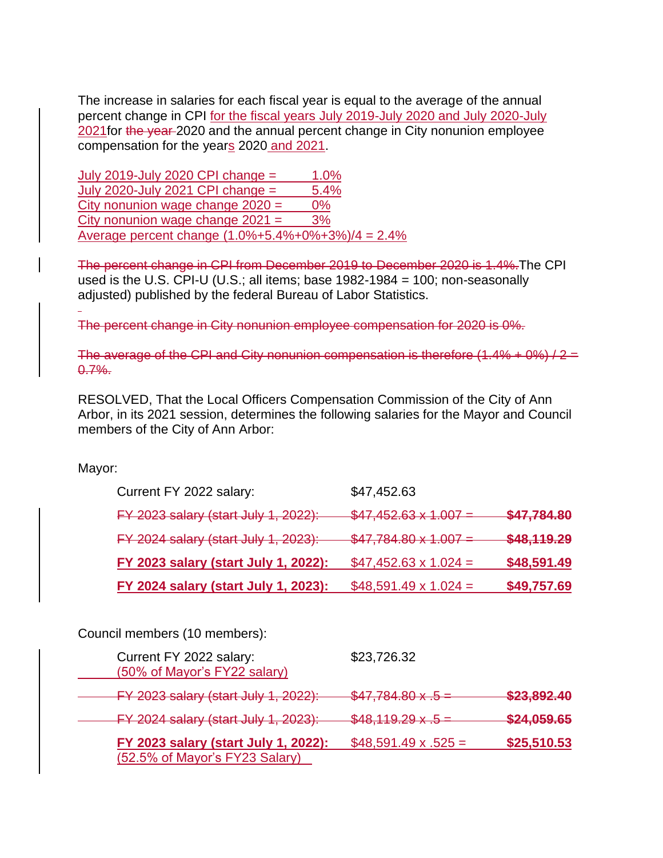The increase in salaries for each fiscal year is equal to the average of the annual percent change in CPI for the fiscal years July 2019-July 2020 and July 2020-July 2021 for the year-2020 and the annual percent change in City nonunion employee compensation for the years 2020 and 2021.

July 2019-July 2020 CPI change  $=$  1.0% July 2020-July 2021 CPI change  $=$  5.4% City nonunion wage change  $2020 = 0\%$ City nonunion wage change  $2021 = 3\%$ Average percent change (1.0%+5.4%+0%+3%)/4 = 2.4%

The percent change in CPI from December 2019 to December 2020 is 1.4%.The CPI used is the U.S. CPI-U (U.S.; all items; base  $1982-1984 = 100$ ; non-seasonally adjusted) published by the federal Bureau of Labor Statistics.

The percent change in City nonunion employee compensation for 2020 is 0%.

The average of the CPI and City nonunion compensation is therefore  $(1.4\% + 0\%)/2 =$  $0.7\%$ .

RESOLVED, That the Local Officers Compensation Commission of the City of Ann Arbor, in its 2021 session, determines the following salaries for the Mayor and Council members of the City of Ann Arbor:

Mayor:

| Current FY 2022 salary:              | \$47,452.63                 |             |
|--------------------------------------|-----------------------------|-------------|
| FY 2023 salary (start July 1, 2022): | $$47,452.63 \times 1.007 =$ | \$47,784.80 |
| FY 2024 salary (start July 1, 2023): | $$47,784.80 \times 1.007 =$ | \$48,119.29 |
| FY 2023 salary (start July 1, 2022): | $$47,452.63 \times 1.024 =$ | \$48,591.49 |
| FY 2024 salary (start July 1, 2023): | $$48,591.49 \times 1.024 =$ | \$49,757.69 |

Council members (10 members):

| Current FY 2022 salary:<br>(50% of Mayor's FY22 salary)                | \$23,726.32                |             |
|------------------------------------------------------------------------|----------------------------|-------------|
| FY 2023 salary (start July 1, 2022):                                   | $$47,784.80 \times .5 =$   | \$23,892.40 |
| FY 2024 salary (start July 1, 2023):                                   | $$48,119.29 \times .5 =$   | \$24,059.65 |
| FY 2023 salary (start July 1, 2022):<br>(52.5% of Mayor's FY23 Salary) | $$48,591.49 \times .525 =$ | \$25,510.53 |